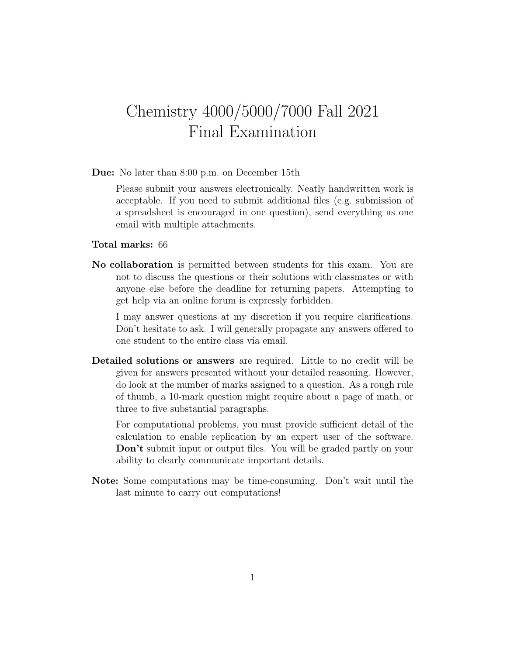## Chemistry 4000/5000/7000 Fall 2021 Final Examination

Due: No later than 8:00 p.m. on December 15th

Please submit your answers electronically. Neatly handwritten work is acceptable. If you need to submit additional files (e.g. submission of a spreadsheet is encouraged in one question), send everything as one email with multiple attachments.

## Total marks: 66

No collaboration is permitted between students for this exam. You are not to discuss the questions or their solutions with classmates or with anyone else before the deadline for returning papers. Attempting to get help via an online forum is expressly forbidden.

I may answer questions at my discretion if you require clarifications. Don't hesitate to ask. I will generally propagate any answers offered to one student to the entire class via email.

Detailed solutions or answers are required. Little to no credit will be given for answers presented without your detailed reasoning. However, do look at the number of marks assigned to a question. As a rough rule of thumb, a 10-mark question might require about a page of math, or three to five substantial paragraphs.

For computational problems, you must provide sufficient detail of the calculation to enable replication by an expert user of the software. Don't submit input or output files. You will be graded partly on your ability to clearly communicate important details.

Note: Some computations may be time-consuming. Don't wait until the last minute to carry out computations!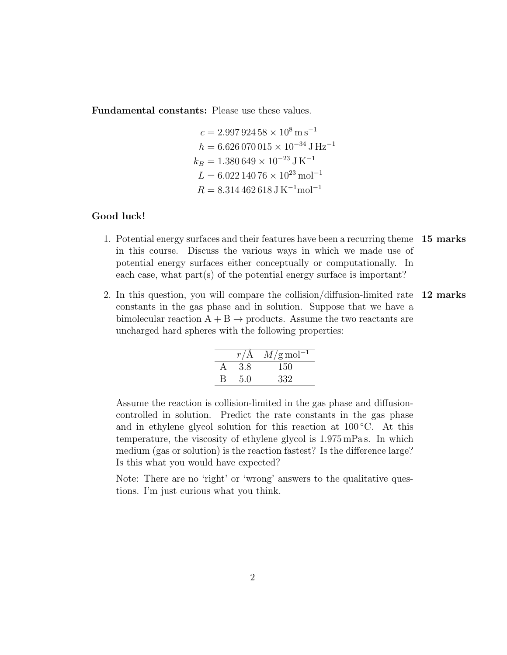Fundamental constants: Please use these values.

$$
c = 2.997\,924\,58 \times 10^8 \,\mathrm{m\,s}^{-1}
$$

$$
h = 6.626\,070\,015 \times 10^{-34}\,\mathrm{J\,Hz}^{-1}
$$

$$
k_B = 1.380\,649 \times 10^{-23}\,\mathrm{J\,K}^{-1}
$$

$$
L = 6.022\,140\,76 \times 10^{23}\,\mathrm{mol}^{-1}
$$

$$
R = 8.314\,462\,618\,\mathrm{J\,K}^{-1}\mathrm{mol}^{-1}
$$

## Good luck!

- 1. Potential energy surfaces and their features have been a recurring theme 15 marks in this course. Discuss the various ways in which we made use of potential energy surfaces either conceptually or computationally. In each case, what part(s) of the potential energy surface is important?
- 2. In this question, you will compare the collision/diffusion-limited rate 12 marks constants in the gas phase and in solution. Suppose that we have a bimolecular reaction  $A + B \rightarrow$  products. Assume the two reactants are uncharged hard spheres with the following properties:

|   | r/A | $M/\text{g}\,\text{mol}^{-1}$ |
|---|-----|-------------------------------|
|   | 3.8 | 150                           |
| B | 5.0 | 332                           |

Assume the reaction is collision-limited in the gas phase and diffusioncontrolled in solution. Predict the rate constants in the gas phase and in ethylene glycol solution for this reaction at  $100\degree C$ . At this temperature, the viscosity of ethylene glycol is 1.975 mPa s. In which medium (gas or solution) is the reaction fastest? Is the difference large? Is this what you would have expected?

Note: There are no 'right' or 'wrong' answers to the qualitative questions. I'm just curious what you think.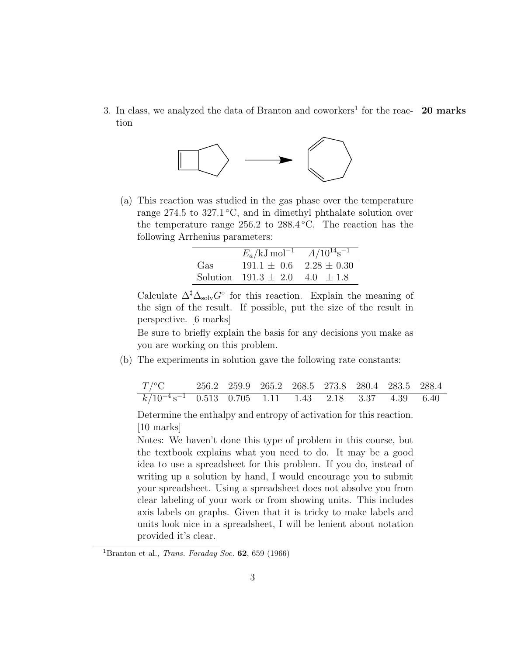3. In class, we analyzed the data of Branton and coworkers<sup>1</sup> for the reac-  $20$  marks tion



(a) This reaction was studied in the gas phase over the temperature range 274.5 to 327.1 °C, and in dimethyl phthalate solution over the temperature range 256.2 to 288.4 °C. The reaction has the following Arrhenius parameters:

|     | $E_a$ /kJ mol <sup>-1</sup> $A/10^{14}$ s <sup>-1</sup> |  |  |  |  |
|-----|---------------------------------------------------------|--|--|--|--|
| Gas | $191.1 \pm 0.6$ $2.28 \pm 0.30$                         |  |  |  |  |
|     | Solution $191.3 \pm 2.0$ $4.0 \pm 1.8$                  |  |  |  |  |

Calculate  $\Delta^{\ddagger} \Delta_{\text{solv}} G^{\circ}$  for this reaction. Explain the meaning of the sign of the result. If possible, put the size of the result in perspective. [6 marks]

Be sure to briefly explain the basis for any decisions you make as you are working on this problem.

(b) The experiments in solution gave the following rate constants:

| $T$ /°C 256.2 259.9 265.2 268.5 273.8 280.4 283.5 288.4               |  |  |  |  |
|-----------------------------------------------------------------------|--|--|--|--|
| $k/10^{-4}$ s <sup>-1</sup> 0.513 0.705 1.11 1.43 2.18 3.37 4.39 6.40 |  |  |  |  |

Determine the enthalpy and entropy of activation for this reaction. [10 marks]

Notes: We haven't done this type of problem in this course, but the textbook explains what you need to do. It may be a good idea to use a spreadsheet for this problem. If you do, instead of writing up a solution by hand, I would encourage you to submit your spreadsheet. Using a spreadsheet does not absolve you from clear labeling of your work or from showing units. This includes axis labels on graphs. Given that it is tricky to make labels and units look nice in a spreadsheet, I will be lenient about notation provided it's clear.

<sup>&</sup>lt;sup>1</sup>Branton et al., *Trans. Faraday Soc.* **62**, 659 (1966)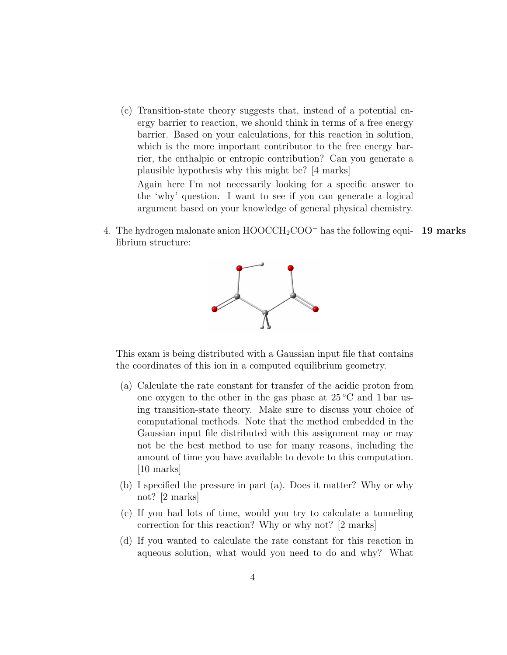(c) Transition-state theory suggests that, instead of a potential energy barrier to reaction, we should think in terms of a free energy barrier. Based on your calculations, for this reaction in solution, which is the more important contributor to the free energy barrier, the enthalpic or entropic contribution? Can you generate a plausible hypothesis why this might be? [4 marks]

Again here I'm not necessarily looking for a specific answer to the 'why' question. I want to see if you can generate a logical argument based on your knowledge of general physical chemistry.

4. The hydrogen malonate anion  $HOOCCH_2COO^-$  has the following equi- 19 marks librium structure:



This exam is being distributed with a Gaussian input file that contains the coordinates of this ion in a computed equilibrium geometry.

- (a) Calculate the rate constant for transfer of the acidic proton from one oxygen to the other in the gas phase at  $25\degree C$  and 1 bar using transition-state theory. Make sure to discuss your choice of computational methods. Note that the method embedded in the Gaussian input file distributed with this assignment may or may not be the best method to use for many reasons, including the amount of time you have available to devote to this computation. [10 marks]
- (b) I specified the pressure in part (a). Does it matter? Why or why not? [2 marks]
- (c) If you had lots of time, would you try to calculate a tunneling correction for this reaction? Why or why not? [2 marks]
- (d) If you wanted to calculate the rate constant for this reaction in aqueous solution, what would you need to do and why? What